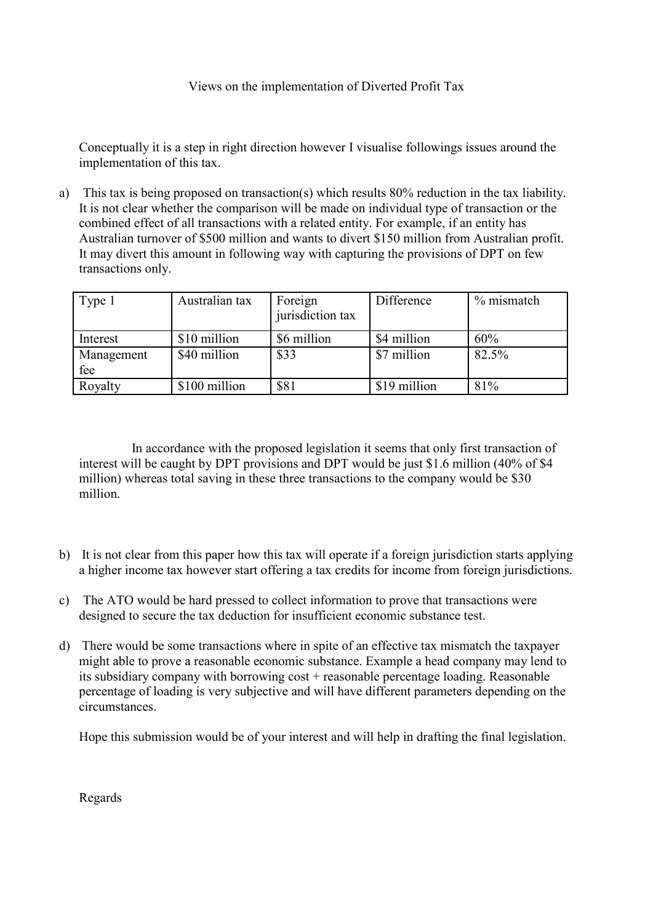Conceptually it is a step in right direction however I visualise followings issues around the implementation of this tax.

a) This tax is being proposed on transaction(s) which results 80% reduction in the tax liability. It is not clear whether the comparison will be made on individual type of transaction or the combined effect of all transactions with a related entity. For example, if an entity has Australian turnover of \$500 million and wants to divert \$150 million from Australian profit. It may divert this amount in following way with capturing the provisions of DPT on few transactions only.

| Type 1     | Australian tax | Foreign<br>jurisdiction tax | Difference   | % mismatch |
|------------|----------------|-----------------------------|--------------|------------|
| Interest   | \$10 million   | \$6 million                 | \$4 million  | 60%        |
| Management | \$40 million   | \$33                        | \$7 million  | 82.5%      |
| fee        |                |                             |              |            |
| Royalty    | \$100 million  | \$81                        | \$19 million | 81%        |

 In accordance with the proposed legislation it seems that only first transaction of interest will be caught by DPT provisions and DPT would be just \$1.6 million (40% of \$4 million) whereas total saving in these three transactions to the company would be \$30 million.

- b) It is not clear from this paper how this tax will operate if a foreign jurisdiction starts applying a higher income tax however start offering a tax credits for income from foreign jurisdictions.
- c) The ATO would be hard pressed to collect information to prove that transactions were designed to secure the tax deduction for insufficient economic substance test.
- d) There would be some transactions where in spite of an effective tax mismatch the taxpayer might able to prove a reasonable economic substance. Example a head company may lend to its subsidiary company with borrowing cost + reasonable percentage loading. Reasonable percentage of loading is very subjective and will have different parameters depending on the circumstances.

Hope this submission would be of your interest and will help in drafting the final legislation.

Regards